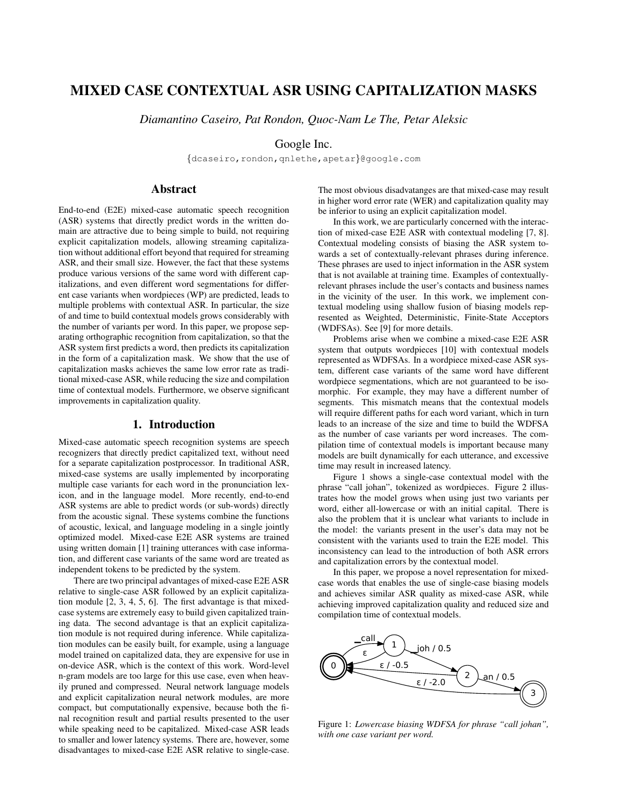# MIXED CASE CONTEXTUAL ASR USING CAPITALIZATION MASKS

*Diamantino Caseiro, Pat Rondon, Quoc-Nam Le The, Petar Aleksic*

Google Inc.

{dcaseiro,rondon,qnlethe,apetar}@google.com

# Abstract

End-to-end (E2E) mixed-case automatic speech recognition (ASR) systems that directly predict words in the written domain are attractive due to being simple to build, not requiring explicit capitalization models, allowing streaming capitalization without additional effort beyond that required for streaming ASR, and their small size. However, the fact that these systems produce various versions of the same word with different capitalizations, and even different word segmentations for different case variants when wordpieces (WP) are predicted, leads to multiple problems with contextual ASR. In particular, the size of and time to build contextual models grows considerably with the number of variants per word. In this paper, we propose separating orthographic recognition from capitalization, so that the ASR system first predicts a word, then predicts its capitalization in the form of a capitalization mask. We show that the use of capitalization masks achieves the same low error rate as traditional mixed-case ASR, while reducing the size and compilation time of contextual models. Furthermore, we observe significant improvements in capitalization quality.

# 1. Introduction

Mixed-case automatic speech recognition systems are speech recognizers that directly predict capitalized text, without need for a separate capitalization postprocessor. In traditional ASR, mixed-case systems are usally implemented by incorporating multiple case variants for each word in the pronunciation lexicon, and in the language model. More recently, end-to-end ASR systems are able to predict words (or sub-words) directly from the acoustic signal. These systems combine the functions of acoustic, lexical, and language modeling in a single jointly optimized model. Mixed-case E2E ASR systems are trained using written domain [1] training utterances with case information, and different case variants of the same word are treated as independent tokens to be predicted by the system.

There are two principal advantages of mixed-case E2E ASR relative to single-case ASR followed by an explicit capitalization module [2, 3, 4, 5, 6]. The first advantage is that mixedcase systems are extremely easy to build given capitalized training data. The second advantage is that an explicit capitalization module is not required during inference. While capitalization modules can be easily built, for example, using a language model trained on capitalized data, they are expensive for use in on-device ASR, which is the context of this work. Word-level n-gram models are too large for this use case, even when heavily pruned and compressed. Neural network language models and explicit capitalization neural network modules, are more compact, but computationally expensive, because both the final recognition result and partial results presented to the user while speaking need to be capitalized. Mixed-case ASR leads to smaller and lower latency systems. There are, however, some disadvantages to mixed-case E2E ASR relative to single-case. The most obvious disadvatanges are that mixed-case may result in higher word error rate (WER) and capitalization quality may be inferior to using an explicit capitalization model.

In this work, we are particularly concerned with the interaction of mixed-case E2E ASR with contextual modeling [7, 8]. Contextual modeling consists of biasing the ASR system towards a set of contextually-relevant phrases during inference. These phrases are used to inject information in the ASR system that is not available at training time. Examples of contextuallyrelevant phrases include the user's contacts and business names in the vicinity of the user. In this work, we implement contextual modeling using shallow fusion of biasing models represented as Weighted, Deterministic, Finite-State Acceptors (WDFSAs). See [9] for more details.

Problems arise when we combine a mixed-case E2E ASR system that outputs wordpieces [10] with contextual models represented as WDFSAs. In a wordpiece mixed-case ASR system, different case variants of the same word have different wordpiece segmentations, which are not guaranteed to be isomorphic. For example, they may have a different number of segments. This mismatch means that the contextual models will require different paths for each word variant, which in turn leads to an increase of the size and time to build the WDFSA as the number of case variants per word increases. The compilation time of contextual models is important because many models are built dynamically for each utterance, and excessive time may result in increased latency.

Figure 1 shows a single-case contextual model with the phrase "call johan", tokenized as wordpieces. Figure 2 illustrates how the model grows when using just two variants per word, either all-lowercase or with an initial capital. There is also the problem that it is unclear what variants to include in the model: the variants present in the user's data may not be consistent with the variants used to train the E2E model. This inconsistency can lead to the introduction of both ASR errors and capitalization errors by the contextual model.

In this paper, we propose a novel representation for mixedcase words that enables the use of single-case biasing models and achieves similar ASR quality as mixed-case ASR, while achieving improved capitalization quality and reduced size and compilation time of contextual models.



Figure 1: *Lowercase biasing WDFSA for phrase "call johan", with one case variant per word.*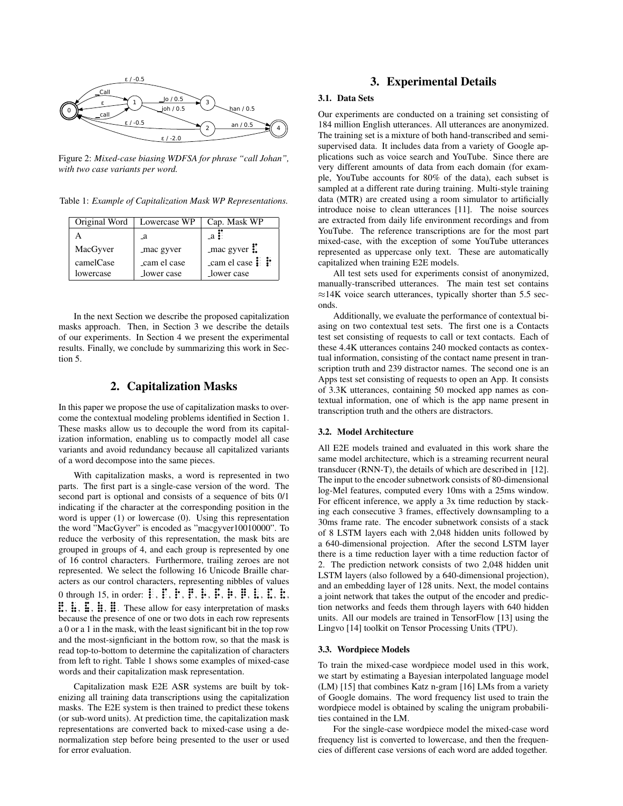

Figure 2: *Mixed-case biasing WDFSA for phrase "call Johan", with two case variants per word.*

Table 1: *Example of Capitalization Mask WP Representations.*

| Original Word | Lowercase WP | Cap. Mask WP                                        |
|---------------|--------------|-----------------------------------------------------|
|               | _a           | $-a$ :                                              |
| MacGyver      | _mac gyver   | $\lceil \cdot \rceil$ mac gyver $\ddot{\mathbf{E}}$ |
| camelCase     | cam el case  | $\_cam$ el case $\ddot{\ddot{\mathbf{i}}}$ :        |
| lowercase     | _lower case  | lower case                                          |

In the next Section we describe the proposed capitalization masks approach. Then, in Section 3 we describe the details of our experiments. In Section 4 we present the experimental results. Finally, we conclude by summarizing this work in Section 5.

# 2. Capitalization Masks

In this paper we propose the use of capitalization masks to overcome the contextual modeling problems identified in Section 1. These masks allow us to decouple the word from its capitalization information, enabling us to compactly model all case variants and avoid redundancy because all capitalized variants of a word decompose into the same pieces.

With capitalization masks, a word is represented in two parts. The first part is a single-case version of the word. The second part is optional and consists of a sequence of bits 0/1 indicating if the character at the corresponding position in the word is upper (1) or lowercase (0). Using this representation the word "MacGyver" is encoded as "macgyver10010000". To reduce the verbosity of this representation, the mask bits are grouped in groups of 4, and each group is represented by one of 16 control characters. Furthermore, trailing zeroes are not represented. We select the following 16 Unicode Braille characters as our control characters, representing nibbles of values 0 through 15, in order:  $\mathbb{F}$ ,  $\mathbb{F}$ ,  $\mathbb{F}$ ,  $\mathbb{F}$ ,  $\mathbb{F}$ ,  $\mathbb{F}$ ,  $\mathbb{F}$ ,  $\mathbb{F}$ ,  $\mathbb{F}$ ,  $\mathbb{F}$ ,  $\mathbb{F}$ ,  $\mathbb{F}$ ,  $\mathbb{E}$ ,  $\mathbb{E}$ ,  $\mathbb{E}$ ,  $\mathbb{E}$ ,  $\ddot{\mathbf{H}}$ ,  $\ddot{\mathbf{H}}$ ,  $\dddot{\mathbf{H}}$ . These allow for easy interpretation of masks q q i<br>S į. q q because the presence of one or two dots in each row represents a 0 or a 1 in the mask, with the least significant bit in the top row and the most-signficiant in the bottom row, so that the mask is read top-to-bottom to determine the capitalization of characters from left to right. Table 1 shows some examples of mixed-case words and their capitalization mask representation.

Capitalization mask E2E ASR systems are built by tokenizing all training data transcriptions using the capitalization masks. The E2E system is then trained to predict these tokens (or sub-word units). At prediction time, the capitalization mask representations are converted back to mixed-case using a denormalization step before being presented to the user or used for error evaluation.

# 3. Experimental Details

#### 3.1. Data Sets

Our experiments are conducted on a training set consisting of 184 million English utterances. All utterances are anonymized. The training set is a mixture of both hand-transcribed and semisupervised data. It includes data from a variety of Google applications such as voice search and YouTube. Since there are very different amounts of data from each domain (for example, YouTube accounts for 80% of the data), each subset is sampled at a different rate during training. Multi-style training data (MTR) are created using a room simulator to artificially introduce noise to clean utterances [11]. The noise sources are extracted from daily life environment recordings and from YouTube. The reference transcriptions are for the most part mixed-case, with the exception of some YouTube utterances represented as uppercase only text. These are automatically capitalized when training E2E models.

All test sets used for experiments consist of anonymized, manually-transcribed utterances. The main test set contains  $\approx$ 14K voice search utterances, typically shorter than 5.5 seconds.

Additionally, we evaluate the performance of contextual biasing on two contextual test sets. The first one is a Contacts test set consisting of requests to call or text contacts. Each of these 4.4K utterances contains 240 mocked contacts as contextual information, consisting of the contact name present in transcription truth and 239 distractor names. The second one is an Apps test set consisting of requests to open an App. It consists of 3.3K utterances, containing 50 mocked app names as contextual information, one of which is the app name present in transcription truth and the others are distractors.

#### 3.2. Model Architecture

All E2E models trained and evaluated in this work share the same model architecture, which is a streaming recurrent neural transducer (RNN-T), the details of which are described in [12]. The input to the encoder subnetwork consists of 80-dimensional log-Mel features, computed every 10ms with a 25ms window. For efficent inference, we apply a 3x time reduction by stacking each consecutive 3 frames, effectively downsampling to a 30ms frame rate. The encoder subnetwork consists of a stack of 8 LSTM layers each with 2,048 hidden units followed by a 640-dimensional projection. After the second LSTM layer there is a time reduction layer with a time reduction factor of 2. The prediction network consists of two 2,048 hidden unit LSTM layers (also followed by a 640-dimensional projection), and an embedding layer of 128 units. Next, the model contains a joint network that takes the output of the encoder and prediction networks and feeds them through layers with 640 hidden units. All our models are trained in TensorFlow [13] using the Lingvo [14] toolkit on Tensor Processing Units (TPU).

#### 3.3. Wordpiece Models

To train the mixed-case wordpiece model used in this work, we start by estimating a Bayesian interpolated language model (LM) [15] that combines Katz n-gram [16] LMs from a variety of Google domains. The word frequency list used to train the wordpiece model is obtained by scaling the unigram probabilities contained in the LM.

For the single-case wordpiece model the mixed-case word frequency list is converted to lowercase, and then the frequencies of different case versions of each word are added together.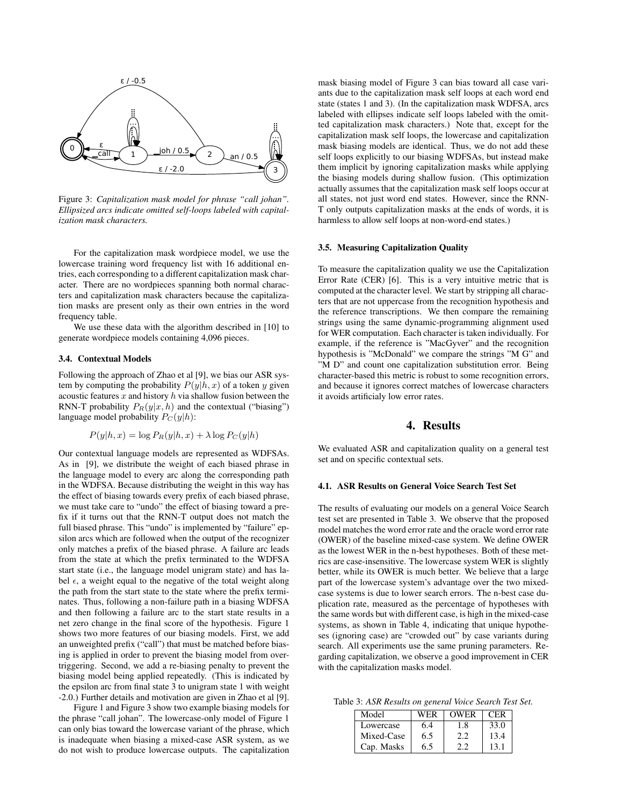

Figure 3: *Capitalization mask model for phrase "call johan". Ellipsized arcs indicate omitted self-loops labeled with capitalization mask characters.*

For the capitalization mask wordpiece model, we use the lowercase training word frequency list with 16 additional entries, each corresponding to a different capitalization mask character. There are no wordpieces spanning both normal characters and capitalization mask characters because the capitalization masks are present only as their own entries in the word frequency table.

We use these data with the algorithm described in [10] to generate wordpiece models containing 4,096 pieces.

#### 3.4. Contextual Models

Following the approach of Zhao et al [9], we bias our ASR system by computing the probability  $P(y|h, x)$  of a token y given acoustic features  $x$  and history  $h$  via shallow fusion between the RNN-T probability  $P_R(y|x, h)$  and the contextual ("biasing") language model probability  $P_C(y|h)$ :

$$
P(y|h, x) = \log P_R(y|h, x) + \lambda \log P_C(y|h)
$$

Our contextual language models are represented as WDFSAs. As in [9], we distribute the weight of each biased phrase in the language model to every arc along the corresponding path in the WDFSA. Because distributing the weight in this way has the effect of biasing towards every prefix of each biased phrase, we must take care to "undo" the effect of biasing toward a prefix if it turns out that the RNN-T output does not match the full biased phrase. This "undo" is implemented by "failure" epsilon arcs which are followed when the output of the recognizer only matches a prefix of the biased phrase. A failure arc leads from the state at which the prefix terminated to the WDFSA start state (i.e., the language model unigram state) and has label  $\epsilon$ , a weight equal to the negative of the total weight along the path from the start state to the state where the prefix terminates. Thus, following a non-failure path in a biasing WDFSA and then following a failure arc to the start state results in a net zero change in the final score of the hypothesis. Figure 1 shows two more features of our biasing models. First, we add an unweighted prefix ("call") that must be matched before biasing is applied in order to prevent the biasing model from overtriggering. Second, we add a re-biasing penalty to prevent the biasing model being applied repeatedly. (This is indicated by the epsilon arc from final state 3 to unigram state 1 with weight -2.0.) Further details and motivation are given in Zhao et al [9].

Figure 1 and Figure 3 show two example biasing models for the phrase "call johan". The lowercase-only model of Figure 1 can only bias toward the lowercase variant of the phrase, which is inadequate when biasing a mixed-case ASR system, as we do not wish to produce lowercase outputs. The capitalization mask biasing model of Figure 3 can bias toward all case variants due to the capitalization mask self loops at each word end state (states 1 and 3). (In the capitalization mask WDFSA, arcs labeled with ellipses indicate self loops labeled with the omitted capitalization mask characters.) Note that, except for the capitalization mask self loops, the lowercase and capitalization mask biasing models are identical. Thus, we do not add these self loops explicitly to our biasing WDFSAs, but instead make them implicit by ignoring capitalization masks while applying the biasing models during shallow fusion. (This optimization actually assumes that the capitalization mask self loops occur at all states, not just word end states. However, since the RNN-T only outputs capitalization masks at the ends of words, it is harmless to allow self loops at non-word-end states.)

#### 3.5. Measuring Capitalization Quality

To measure the capitalization quality we use the Capitalization Error Rate (CER) [6]. This is a very intuitive metric that is computed at the character level. We start by stripping all characters that are not uppercase from the recognition hypothesis and the reference transcriptions. We then compare the remaining strings using the same dynamic-programming alignment used for WER computation. Each character is taken individually. For example, if the reference is "MacGyver" and the recognition hypothesis is "McDonald" we compare the strings "M G" and "M D" and count one capitalization substitution error. Being character-based this metric is robust to some recognition errors, and because it ignores correct matches of lowercase characters it avoids artificialy low error rates.

# 4. Results

We evaluated ASR and capitalization quality on a general test set and on specific contextual sets.

## 4.1. ASR Results on General Voice Search Test Set

The results of evaluating our models on a general Voice Search test set are presented in Table 3. We observe that the proposed model matches the word error rate and the oracle word error rate (OWER) of the baseline mixed-case system. We define OWER as the lowest WER in the n-best hypotheses. Both of these metrics are case-insensitive. The lowercase system WER is slightly better, while its OWER is much better. We believe that a large part of the lowercase system's advantage over the two mixedcase systems is due to lower search errors. The n-best case duplication rate, measured as the percentage of hypotheses with the same words but with different case, is high in the mixed-case systems, as shown in Table 4, indicating that unique hypotheses (ignoring case) are "crowded out" by case variants during search. All experiments use the same pruning parameters. Regarding capitalization, we observe a good improvement in CER with the capitalization masks model.

Table 3: *ASR Results on general Voice Search Test Set.*

| Model      | WER | OWER | CER  |
|------------|-----|------|------|
| Lowercase  | 6.4 |      | 33.0 |
| Mixed-Case | 6.5 |      | 13.4 |
| Cap. Masks | 6.5 |      | 13.1 |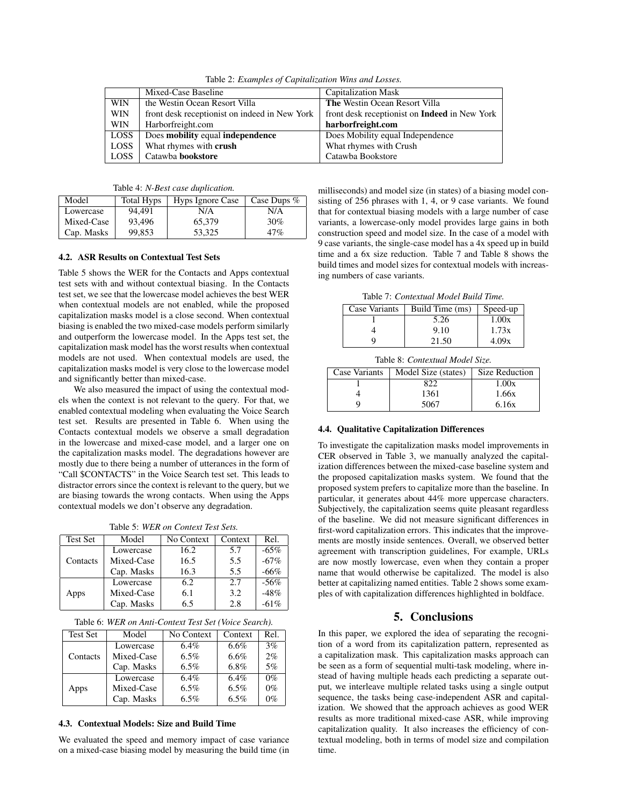|            | Mixed-Case Baseline                           | <b>Capitalization Mask</b>                           |
|------------|-----------------------------------------------|------------------------------------------------------|
| <b>WIN</b> | the Westin Ocean Resort Villa                 | <b>The Westin Ocean Resort Villa</b>                 |
| <b>WIN</b> | front desk receptionist on indeed in New York | front desk receptionist on <b>Indeed</b> in New York |
| <b>WIN</b> | Harborfreight.com                             | harborfreight.com                                    |
| LOSS       | Does mobility equal independence              | Does Mobility equal Independence                     |
| LOSS       | What rhymes with crush                        | What rhymes with Crush                               |
| LOSS       | Catawba <b>bookstore</b>                      | Catawba Bookstore                                    |

Table 2: *Examples of Capitalization Wins and Losses.*

| Table 4: <i>N-Best case duplication</i> . |  |  |  |
|-------------------------------------------|--|--|--|
|-------------------------------------------|--|--|--|

| Model      | Total Hyps | Hyps Ignore Case | Case Dups $%$ |
|------------|------------|------------------|---------------|
| Lowercase  | 94.491     | N/A              | N/A           |
| Mixed-Case | 93.496     | 65,379           | 30%           |
| Cap. Masks | 99,853     | 53.325           | 47%           |

#### 4.2. ASR Results on Contextual Test Sets

Table 5 shows the WER for the Contacts and Apps contextual test sets with and without contextual biasing. In the Contacts test set, we see that the lowercase model achieves the best WER when contextual models are not enabled, while the proposed capitalization masks model is a close second. When contextual biasing is enabled the two mixed-case models perform similarly and outperform the lowercase model. In the Apps test set, the capitalization mask model has the worst results when contextual models are not used. When contextual models are used, the capitalization masks model is very close to the lowercase model and significantly better than mixed-case.

We also measured the impact of using the contextual models when the context is not relevant to the query. For that, we enabled contextual modeling when evaluating the Voice Search test set. Results are presented in Table 6. When using the Contacts contextual models we observe a small degradation in the lowercase and mixed-case model, and a larger one on the capitalization masks model. The degradations however are mostly due to there being a number of utterances in the form of "Call \$CONTACTS" in the Voice Search test set. This leads to distractor errors since the context is relevant to the query, but we are biasing towards the wrong contacts. When using the Apps contextual models we don't observe any degradation.

Table 5: *WER on Context Test Sets.*

| <b>Test Set</b> | Model      | No Context | Context | Rel.   |
|-----------------|------------|------------|---------|--------|
|                 | Lowercase  | 16.2       | 5.7     | $-65%$ |
| Contacts        | Mixed-Case | 16.5       | 5.5     | $-67%$ |
|                 | Cap. Masks | 16.3       | 5.5     | $-66%$ |
|                 | Lowercase  | 6.2        | 2.7     | $-56%$ |
| Apps            | Mixed-Case | 6.1        | 3.2     | $-48%$ |
|                 | Cap. Masks | 6.5        | 2.8     | $-61%$ |

| Table 6: WER on Anti-Context Test Set (Voice Search). |  |  |  |  |  |  |  |
|-------------------------------------------------------|--|--|--|--|--|--|--|
|-------------------------------------------------------|--|--|--|--|--|--|--|

| <b>Test Set</b> | Model      | No Context | Context | Rel.  |
|-----------------|------------|------------|---------|-------|
|                 | Lowercase  | $6.4\%$    | $6.6\%$ | 3%    |
| Contacts        | Mixed-Case | 6.5%       | $6.6\%$ | 2%    |
|                 | Cap. Masks | 6.5%       | 6.8%    | 5%    |
|                 | Lowercase  | $6.4\%$    | $6.4\%$ | $0\%$ |
| Apps            | Mixed-Case | 6.5%       | 6.5%    | $0\%$ |
|                 | Cap. Masks | $6.5\%$    | $6.5\%$ | 0%    |

## 4.3. Contextual Models: Size and Build Time

We evaluated the speed and memory impact of case variance on a mixed-case biasing model by measuring the build time (in milliseconds) and model size (in states) of a biasing model consisting of 256 phrases with 1, 4, or 9 case variants. We found that for contextual biasing models with a large number of case variants, a lowercase-only model provides large gains in both construction speed and model size. In the case of a model with 9 case variants, the single-case model has a 4x speed up in build time and a 6x size reduction. Table 7 and Table 8 shows the build times and model sizes for contextual models with increasing numbers of case variants.

Table 7: *Contextual Model Build Time.*

| Case Variants | Build Time (ms) | Speed-up |
|---------------|-----------------|----------|
|               | 5.26            | 1.00x    |
|               | 9.10            | 1.73x    |
|               | 21.50           | 4.09x    |

Table 8: *Contextual Model Size.*

| Case Variants | Model Size (states) | Size Reduction |
|---------------|---------------------|----------------|
|               |                     | 1.00x          |
|               | 1361                | 1.66x          |
|               | 5067                | 6.16x          |

## 4.4. Qualitative Capitalization Differences

To investigate the capitalization masks model improvements in CER observed in Table 3, we manually analyzed the capitalization differences between the mixed-case baseline system and the proposed capitalization masks system. We found that the proposed system prefers to capitalize more than the baseline. In particular, it generates about 44% more uppercase characters. Subjectively, the capitalization seems quite pleasant regardless of the baseline. We did not measure significant differences in first-word capitalization errors. This indicates that the improvements are mostly inside sentences. Overall, we observed better agreement with transcription guidelines, For example, URLs are now mostly lowercase, even when they contain a proper name that would otherwise be capitalized. The model is also better at capitalizing named entities. Table 2 shows some examples of with capitalization differences highlighted in boldface.

#### 5. Conclusions

In this paper, we explored the idea of separating the recognition of a word from its capitalization pattern, represented as a capitalization mask. This capitalization masks approach can be seen as a form of sequential multi-task modeling, where instead of having multiple heads each predicting a separate output, we interleave multiple related tasks using a single output sequence, the tasks being case-independent ASR and capitalization. We showed that the approach achieves as good WER results as more traditional mixed-case ASR, while improving capitalization quality. It also increases the efficiency of contextual modeling, both in terms of model size and compilation time.